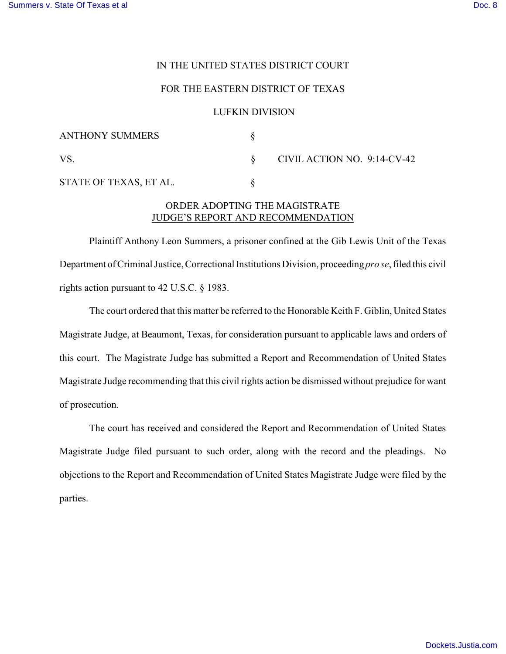### IN THE UNITED STATES DISTRICT COURT

### FOR THE EASTERN DISTRICT OF TEXAS

#### LUFKIN DIVISION

| <b>ANTHONY SUMMERS</b> |                             |
|------------------------|-----------------------------|
| VS.                    | CIVIL ACTION NO. 9:14-CV-42 |
| STATE OF TEXAS, ET AL. |                             |

# ORDER ADOPTING THE MAGISTRATE JUDGE'S REPORT AND RECOMMENDATION

Plaintiff Anthony Leon Summers, a prisoner confined at the Gib Lewis Unit of the Texas Department of Criminal Justice, Correctional Institutions Division, proceeding *pro se*, filed this civil rights action pursuant to 42 U.S.C. § 1983.

The court ordered that this matter be referred to the Honorable Keith F. Giblin, United States Magistrate Judge, at Beaumont, Texas, for consideration pursuant to applicable laws and orders of this court. The Magistrate Judge has submitted a Report and Recommendation of United States Magistrate Judge recommending that this civil rights action be dismissed without prejudice for want of prosecution.

The court has received and considered the Report and Recommendation of United States Magistrate Judge filed pursuant to such order, along with the record and the pleadings. No objections to the Report and Recommendation of United States Magistrate Judge were filed by the parties.